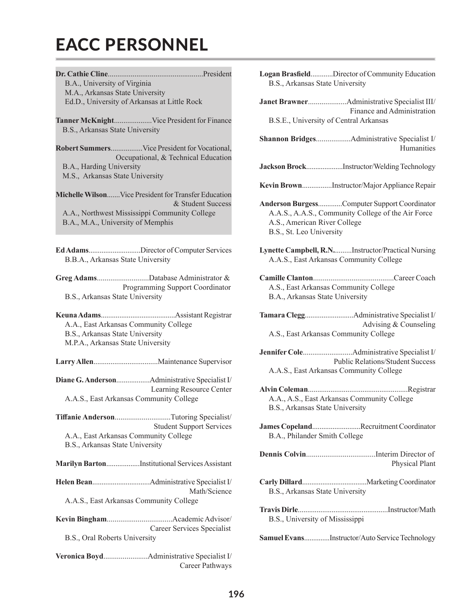## EACC PERSONNEL

**Dr. Cathie Cline**..................................................President B.A., University of Virginia M.A., Arkansas State University Ed.D., University of Arkansas at Little Rock

**Tanner McKnight**....................Vice President for Finance B.S., Arkansas State University

**Robert Summers**.................Vice President for Vocational, Occupational, & Technical Education B.A., Harding University M.S., Arkansas State University

**Michelle Wilson**.......Vice President for Transfer Education & Student Success A.A., Northwest Mississippi Community College B.A., M.A., University of Memphis

**Ed Adams**............................Director of Computer Services B.B.A., Arkansas State University

**Greg Adams**...........................Database Administrator & Programming Support Coordinator B.S., Arkansas State University

**Keuna Adams**........................................Assistant Registrar A.A., East Arkansas Community College B.S., Arkansas State University M.P.A., Arkansas State University

**Larry Allen**..................................Maintenance Supervisor

**Diane G. Anderson**..................Administrative Specialist I/ Learning Resource Center A.A.S., East Arkansas Community College

**Tiffanie Anderson**.............................Tutoring Specialist/ Student Support Services A.A., East Arkansas Community College B.S., Arkansas State University

**Marilyn Barton**..................Institutional Services Assistant

- **Helen Bean**...............................Administrative Specialist I/ Math/Science A.A.S., East Arkansas Community College
- **Kevin Bingham**..................................Academic Advisor/ Career Services Specialist B.S., Oral Roberts University
- **Veronica Boyd**.......................Administrative Specialist I/ Career Pathways
- **Logan Brasfield**............Director of Community Education B.S., Arkansas State University
- **Janet Brawner**....................Administrative Specialist III/ Finance and Administration B.S.E., University of Central Arkansas

**Shannon Bridges**..................Administrative Specialist I/ Humanities

- **Jackson Brock**....................Instructor/Welding Technology
- **Kevin Brown**................Instructor/Major Appliance Repair

**Anderson Burgess**.............Computer Support Coordinator A.A.S., A.A.S., Community College of the Air Force A.S., American River College B.S., St. Leo University

**Lynette Campbell, R.N.**.........Instructor/Practical Nursing A.A.S., East Arkansas Community College

## **Camille Clanton**..........................................Career Coach A.S., East Arkansas Community College B.A., Arkansas State University

**Tamara Clegg**..........................Administrative Specialist I/ Advising & Counseling A.S., East Arkansas Community College

- **Jennifer Cole**..........................Administrative Specialist I/ Public Relations/Student Success A.A.S., East Arkansas Community College
- **Alvin Coleman**.....................................................Registrar A.A., A.S., East Arkansas Community College B.S., Arkansas State University
- **James Copeland**..........................Recruitment Coordinator B.A., Philander Smith College

**Dennis Colvin**....................................Interim Director of Physical Plant

- **Carly Dillard**...................................Marketing Coordinator B.S., Arkansas State University
- **Travis Dirle**................................................Instructor/Math B.S., University of Mississippi

**Samuel Evans**..............Instructor/Auto Service Technology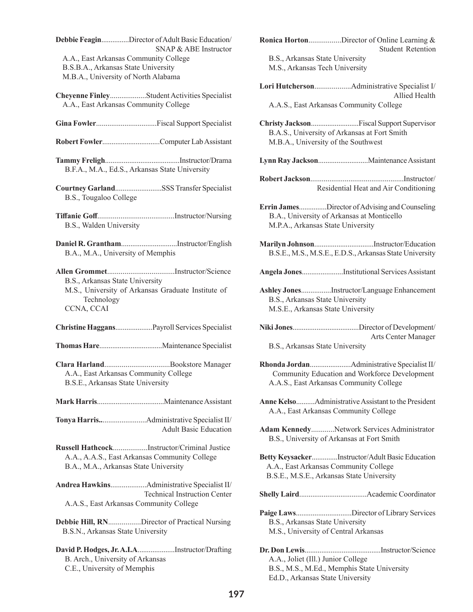**Debbie Feagin**...............Director of Adult Basic Education/ SNAP & ABE Instructor A.A., East Arkansas Community College B.S.B.A., Arkansas State University M.B.A., University of North Alabama

**Cheyenne Finley**...................Student Activities Specialist A.A., East Arkansas Community College

**Gina Fowler**................................Fiscal Support Specialist

**Robert Fowler**...............................Computer Lab Assistant

**Tammy Freligh**........................................Instructor/Drama B.F.A., M.A., Ed.S., Arkansas State University

**Courtney Garland**.........................SSS Transfer Specialist B.S., Tougaloo College

**Tiffanie Goff**........................................Instructor/Nursing B.S., Walden University

**Daniel R. Grantham**..............................Instructor/English B.A., M.A., University of Memphis

**Allen Grommet**...................................Instructor/Science B.S., Arkansas State University M.S., University of Arkansas Graduate Institute of Technology CCNA, CCAI

**Christine Haggans**....................Payroll Services Specialist

**Thomas Hare**..................................Maintenance Specialist

**Clara Harland**..................................Bookstore Manager A.A., East Arkansas Community College B.S.E., Arkansas State University

**Mark Harris**....................................Maintenance Assistant

**Tonya Harris..**.......................Administrative Specialist II/ Adult Basic Education

**Russell Hathcock**..................Instructor/Criminal Justice A.A., A.A.S., East Arkansas Community College B.A., M.A., Arkansas State University

**Andrea Hawkins**...................Administrative Specialist II/ Technical Instruction Center A.A.S., East Arkansas Community College

**Debbie Hill, RN**.................Director of Practical Nursing B.S.N., Arkansas State University

**David P. Hodges, Jr. A.I.A**....................Instructor/Drafting B. Arch., University of Arkansas C.E., University of Memphis

| <b>Ronica HortonDirector of Online Learning &amp;</b><br><b>Student Retention</b>                                                     |
|---------------------------------------------------------------------------------------------------------------------------------------|
| B.S., Arkansas State University                                                                                                       |
| M.S., Arkansas Tech University                                                                                                        |
| Allied Health                                                                                                                         |
| A.A.S., East Arkansas Community College                                                                                               |
| Christy JacksonFiscal Support Supervisor<br>B.A.S., University of Arkansas at Fort Smith<br>M.B.A., University of the Southwest       |
|                                                                                                                                       |
| Residential Heat and Air Conditioning                                                                                                 |
| Errin JamesDirector of Advising and Counseling<br>B.A., University of Arkansas at Monticello<br>M.P.A., Arkansas State University     |
| B.S.E., M.S., M.S.E., E.D.S., Arkansas State University                                                                               |
| Angela JonesInstitutional Services Assistant                                                                                          |
| Ashley JonesInstructor/Language Enhancement<br>B.S., Arkansas State University<br>M.S.E., Arkansas State University                   |
| Arts Center Manager<br>B.S., Arkansas State University                                                                                |
| Community Education and Workforce Development<br>A.A.S., East Arkansas Community College                                              |
| Anne KelsoAdministrative Assistant to the President<br>A.A., East Arkansas Community College                                          |
| Adam KennedyNetwork Services Administrator<br>B.S., University of Arkansas at Fort Smith                                              |
| Betty KeysackerInstructor/Adult Basic Education<br>A.A., East Arkansas Community College<br>B.S.E., M.S.E., Arkansas State University |
|                                                                                                                                       |
| Paige LawsDirector of Library Services<br>B.S., Arkansas State University<br>M.S., University of Central Arkansas                     |
| A.A., Joliet (Ill.) Junior College                                                                                                    |

B.S., M.S., M.Ed., Memphis State University

Ed.D., Arkansas State University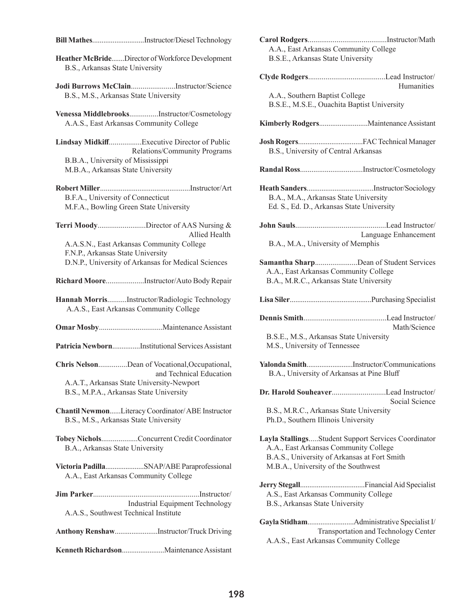**Bill Mathes**............................Instructor/Diesel Technology

**Heather McBride**.......Director of Workforce Development B.S., Arkansas State University

**Jodi Burrows McClain**.......................Instructor/Science B.S., M.S., Arkansas State University

**Venessa Middlebrooks**...............Instructor/Cosmetology A.A.S., East Arkansas Community College

**Lindsay Midkiff**.................Executive Director of Public Relations/Community Programs B.B.A., University of Mississippi M.B.A., Arkansas State University

**Robert Miller**................................................Instructor/Art B.F.A., University of Connecticut M.F.A., Bowling Green State University

**Terri Moody**.........................Director of AAS Nursing & Allied Health A.A.S.N., East Arkansas Community College F.N.P., Arkansas State University D.N.P., University of Arkansas for Medical Sciences

**Richard Moore**....................Instructor/Auto Body Repair

**Hannah Morris**..........Instructor/Radiologic Technology A.A.S., East Arkansas Community College

**Omar Mosby**.................................Maintenance Assistant

**Patricia Newborn**...............Institutional Services Assistant

**Chris Nelson**...............Dean of Vocational,Occupational, and Technical Education A.A.T., Arkansas State University-Newport B.S., M.P.A., Arkansas State University

**Chantil Newmon**......Literacy Coordinator/ ABE Instructor B.S., M.S., Arkansas State University

**Tobey Nichols**...................Concurrent Credit Coordinator B.A., Arkansas State University

**Victoria Padilla**.....................SNAP/ABE Paraprofessional A.A., East Arkansas Community College

**Jim Parker**.......................................................Instructor/ Industrial Equipment Technology A.A.S., Southwest Technical Institute

**Anthony Renshaw**.......................Instructor/Truck Driving

**Kenneth Richardson**.......................Maintenance Assistant

| A.A., East Arkansas Community College<br>B.S.E., Arkansas State University                                                                                                          |                      |
|-------------------------------------------------------------------------------------------------------------------------------------------------------------------------------------|----------------------|
| A.A., Southern Baptist College<br>B.S.E., M.S.E., Ouachita Baptist University                                                                                                       | <b>Humanities</b>    |
|                                                                                                                                                                                     |                      |
| B.S., University of Central Arkansas                                                                                                                                                |                      |
|                                                                                                                                                                                     |                      |
| B.A., M.A., Arkansas State University<br>Ed. S., Ed. D., Arkansas State University                                                                                                  |                      |
| B.A., M.A., University of Memphis                                                                                                                                                   | Language Enhancement |
| Samantha SharpDean of Student Services<br>A.A., East Arkansas Community College<br>B.A., M.R.C., Arkansas State University                                                          |                      |
|                                                                                                                                                                                     |                      |
|                                                                                                                                                                                     |                      |
| B.S.E., M.S., Arkansas State University                                                                                                                                             | Math/Science         |
| M.S., University of Tennessee<br>B.A., University of Arkansas at Pine Bluff                                                                                                         |                      |
| Yalonda SmithInstructor/Communications<br>B.S., M.R.C., Arkansas State University<br>Ph.D., Southern Illinois University                                                            | Social Science       |
| Layla StallingsStudent Support Services Coordinator<br>A.A., East Arkansas Community College<br>B.A.S., University of Arkansas at Fort Smith<br>M.B.A., University of the Southwest |                      |
| A.S., East Arkansas Community College<br>B.S., Arkansas State University                                                                                                            |                      |